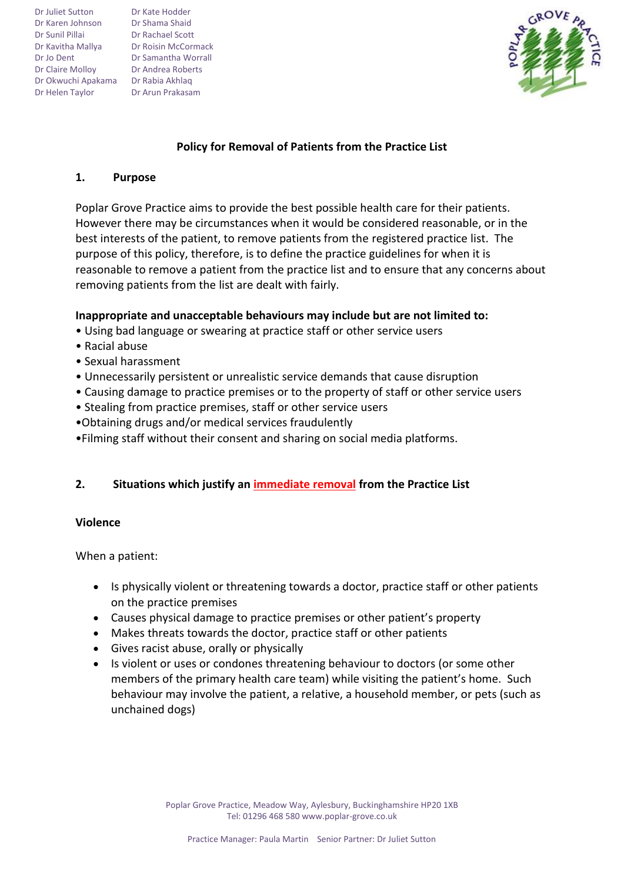Dr Juliet Sutton Dr Karen Johnson Dr Sunil Pillai Dr Kavitha Mallya Dr Jo Dent Dr Claire Molloy Dr Okwuchi Apakama Dr Rabia Akhlaq Dr Helen Taylor

Dr Kate Hodder Dr Shama Shaid Dr Rachael Scott Dr Roisin McCormack Dr Samantha Worrall Dr Andrea Roberts Dr Arun Prakasam



## **Policy for Removal of Patients from the Practice List**

#### **1. Purpose**

Poplar Grove Practice aims to provide the best possible health care for their patients. However there may be circumstances when it would be considered reasonable, or in the best interests of the patient, to remove patients from the registered practice list. The purpose of this policy, therefore, is to define the practice guidelines for when it is reasonable to remove a patient from the practice list and to ensure that any concerns about removing patients from the list are dealt with fairly.

#### **Inappropriate and unacceptable behaviours may include but are not limited to:**

- Using bad language or swearing at practice staff or other service users
- Racial abuse
- Sexual harassment
- Unnecessarily persistent or unrealistic service demands that cause disruption
- Causing damage to practice premises or to the property of staff or other service users
- Stealing from practice premises, staff or other service users
- •Obtaining drugs and/or medical services fraudulently
- •Filming staff without their consent and sharing on social media platforms.

# **2. Situations which justify an immediate removal from the Practice List**

#### **Violence**

When a patient:

- Is physically violent or threatening towards a doctor, practice staff or other patients on the practice premises
- Causes physical damage to practice premises or other patient's property
- Makes threats towards the doctor, practice staff or other patients
- Gives racist abuse, orally or physically
- Is violent or uses or condones threatening behaviour to doctors (or some other members of the primary health care team) while visiting the patient's home. Such behaviour may involve the patient, a relative, a household member, or pets (such as unchained dogs)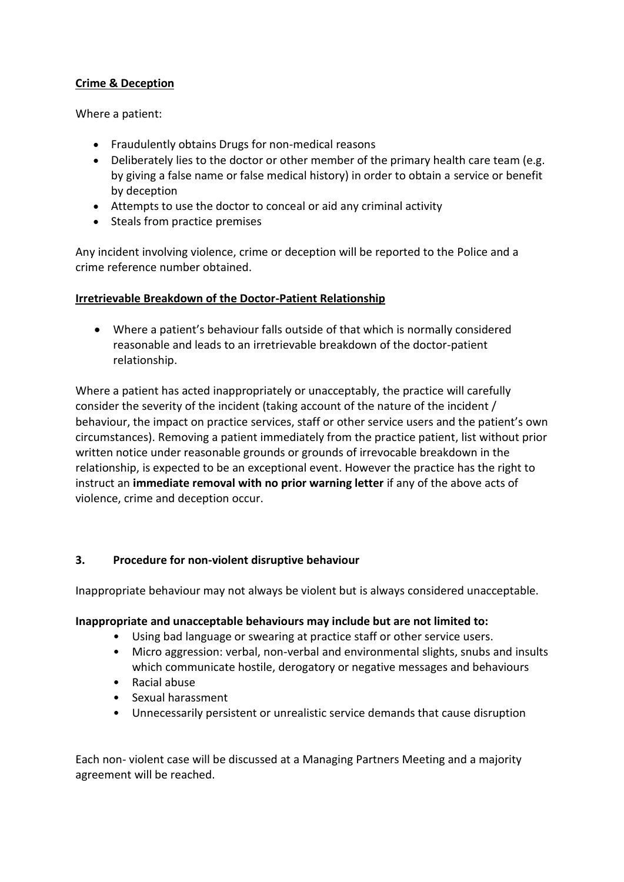# **Crime & Deception**

Where a patient:

- Fraudulently obtains Drugs for non-medical reasons
- Deliberately lies to the doctor or other member of the primary health care team (e.g. by giving a false name or false medical history) in order to obtain a service or benefit by deception
- Attempts to use the doctor to conceal or aid any criminal activity
- Steals from practice premises

Any incident involving violence, crime or deception will be reported to the Police and a crime reference number obtained.

# **Irretrievable Breakdown of the Doctor-Patient Relationship**

 Where a patient's behaviour falls outside of that which is normally considered reasonable and leads to an irretrievable breakdown of the doctor-patient relationship.

Where a patient has acted inappropriately or unacceptably, the practice will carefully consider the severity of the incident (taking account of the nature of the incident / behaviour, the impact on practice services, staff or other service users and the patient's own circumstances). Removing a patient immediately from the practice patient, list without prior written notice under reasonable grounds or grounds of irrevocable breakdown in the relationship, is expected to be an exceptional event. However the practice has the right to instruct an **immediate removal with no prior warning letter** if any of the above acts of violence, crime and deception occur.

# **3. Procedure for non-violent disruptive behaviour**

Inappropriate behaviour may not always be violent but is always considered unacceptable.

#### **Inappropriate and unacceptable behaviours may include but are not limited to:**

- Using bad language or swearing at practice staff or other service users.
- Micro aggression: verbal, non-verbal and environmental slights, snubs and insults which communicate hostile, derogatory or negative messages and behaviours
- Racial abuse
- Sexual harassment
- Unnecessarily persistent or unrealistic service demands that cause disruption

Each non- violent case will be discussed at a Managing Partners Meeting and a majority agreement will be reached.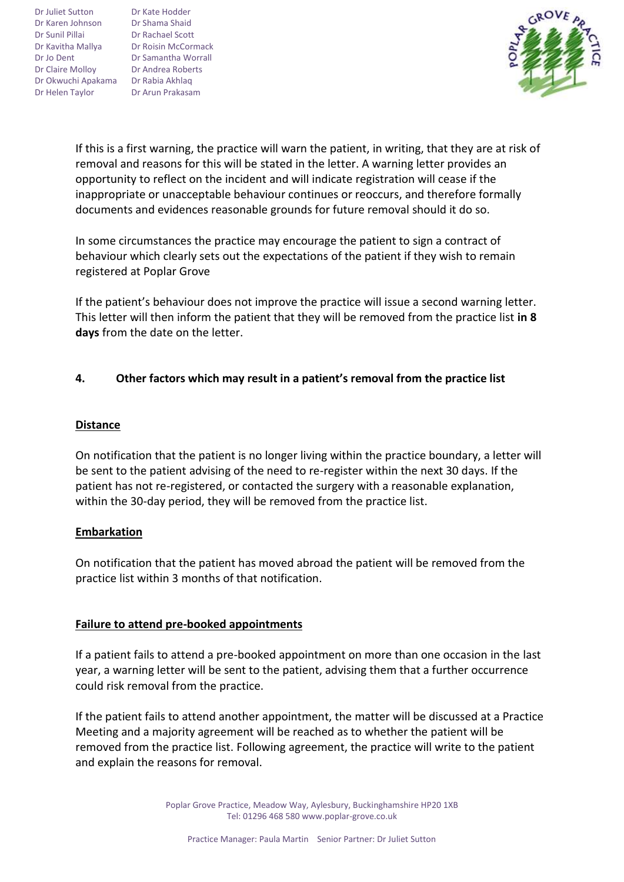Dr Juliet Sutton Dr Karen Johnson Dr Sunil Pillai Dr Kavitha Mallya Dr Jo Dent Dr Claire Molloy Dr Okwuchi Apakama Dr Rabia Akhlaq Dr Helen Taylor

Dr Kate Hodder Dr Shama Shaid Dr Rachael Scott Dr Roisin McCormack Dr Samantha Worrall Dr Andrea Roberts Dr Arun Prakasam



If this is a first warning, the practice will warn the patient, in writing, that they are at risk of removal and reasons for this will be stated in the letter. A warning letter provides an opportunity to reflect on the incident and will indicate registration will cease if the inappropriate or unacceptable behaviour continues or reoccurs, and therefore formally documents and evidences reasonable grounds for future removal should it do so.

In some circumstances the practice may encourage the patient to sign a contract of behaviour which clearly sets out the expectations of the patient if they wish to remain registered at Poplar Grove

If the patient's behaviour does not improve the practice will issue a second warning letter. This letter will then inform the patient that they will be removed from the practice list **in 8 days** from the date on the letter.

# **4. Other factors which may result in a patient's removal from the practice list**

#### **Distance**

On notification that the patient is no longer living within the practice boundary, a letter will be sent to the patient advising of the need to re-register within the next 30 days. If the patient has not re-registered, or contacted the surgery with a reasonable explanation, within the 30-day period, they will be removed from the practice list.

#### **Embarkation**

On notification that the patient has moved abroad the patient will be removed from the practice list within 3 months of that notification.

#### **Failure to attend pre-booked appointments**

If a patient fails to attend a pre-booked appointment on more than one occasion in the last year, a warning letter will be sent to the patient, advising them that a further occurrence could risk removal from the practice.

If the patient fails to attend another appointment, the matter will be discussed at a Practice Meeting and a majority agreement will be reached as to whether the patient will be removed from the practice list. Following agreement, the practice will write to the patient and explain the reasons for removal.

> Poplar Grove Practice, Meadow Way, Aylesbury, Buckinghamshire HP20 1XB Tel: 01296 468 580 www.poplar-grove.co.uk